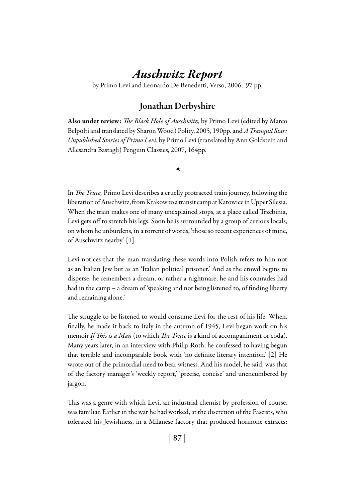# *Auschwitz Report*

by Primo Levi and Leonardo De Benedetti, Verso, 2006, 97 pp.

# Jonathan Derbyshire

Also under review: *The Black Hole of Auschwitz*, by Primo Levi (edited by Marco Belpolti and translated by Sharon Wood) Polity, 2005, 190pp. and *A Tranquil Star: Unpublished Stories of Primo Levi*, by Primo Levi (translated by Ann Goldstein and Allesandra Bastagli) Penguin Classics, 2007, 164pp.

*\**

In *The Truce,* Primo Levi describes a cruelly protracted train journey, following the liberation of Auschwitz, from Krakow to a transit camp at Katowice in Upper Silesia. When the train makes one of many unexplained stops, at a place called Trzebinia, Levi gets off to stretch his legs. Soon he is surrounded by a group of curious locals, on whom he unburdens, in a torrent of words, 'those so recent experiences of mine, of Auschwitz nearby.' [1]

Levi notices that the man translating these words into Polish refers to him not as an Italian Jew but as an 'Italian political prisoner.' And as the crowd begins to disperse, he remembers a dream, or rather a nightmare, he and his comrades had had in the camp – a dream of 'speaking and not being listened to, of finding liberty and remaining alone.'

The struggle to be listened to would consume Levi for the rest of his life. When, finally, he made it back to Italy in the autumn of 1945, Levi began work on his memoir *If This is a Man* (to which *The Truce* is a kind of accompaniment or coda). Many years later, in an interview with Philip Roth, he confessed to having begun that terrible and incomparable book with 'no definite literary intention.' [2] He wrote out of the primordial need to bear witness. And his model, he said, was that of the factory manager's 'weekly report,' 'precise, concise' and unencumbered by jargon.

This was a genre with which Levi, an industrial chemist by profession of course, was familiar. Earlier in the war he had worked, at the discretion of the Fascists, who tolerated his Jewishness, in a Milanese factory that produced hormone extracts;

| 87 |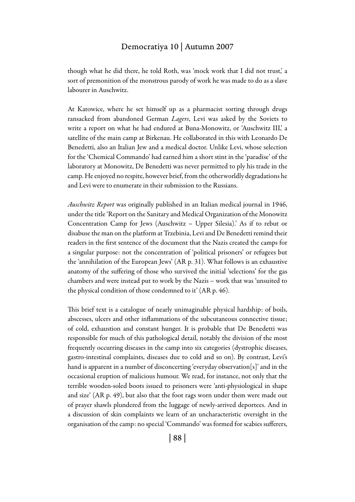#### Democratiya 10 | Autumn 2007

though what he did there, he told Roth, was 'mock work that I did not trust,' a sort of premonition of the monstrous parody of work he was made to do as a slave labourer in Auschwitz.

At Katowice, where he set himself up as a pharmacist sorting through drugs ransacked from abandoned German *Lagers*, Levi was asked by the Soviets to write a report on what he had endured at Buna-Monowitz, or 'Auschwitz III,' a satellite of the main camp at Birkenau. He collaborated in this with Leonardo De Benedetti, also an Italian Jew and a medical doctor. Unlike Levi, whose selection for the 'Chemical Commando' had earned him a short stint in the 'paradise' of the laboratory at Monowitz, De Benedetti was never permitted to ply his trade in the camp. He enjoyed no respite, however brief, from the otherworldly degradations he and Levi were to enumerate in their submission to the Russians.

*Auschwitz Report* was originally published in an Italian medical journal in 1946, under the title 'Report on the Sanitary and Medical Organization of the Monowitz Concentration Camp for Jews (Auschwitz – Upper Silesia).' As if to rebut or disabuse the man on the platform at Trzebinia, Levi and De Benedetti remind their readers in the first sentence of the document that the Nazis created the camps for a singular purpose: not the concentration of 'political prisoners' or refugees but the 'annihilation of the European Jews' (AR p. 31). What follows is an exhaustive anatomy of the suffering of those who survived the initial 'selections' for the gas chambers and were instead put to work by the Nazis – work that was 'unsuited to the physical condition of those condemned to it' (AR p. 46).

This brief text is a catalogue of nearly unimaginable physical hardship: of boils, abscesses, ulcers and other inflammations of the subcutaneous connective tissue; of cold, exhaustion and constant hunger. It is probable that De Benedetti was responsible for much of this pathological detail, notably the division of the most frequently occurring diseases in the camp into six categories (dystrophic diseases, gastro-intestinal complaints, diseases due to cold and so on). By contrast, Levi's hand is apparent in a number of disconcerting 'everyday observation[s]' and in the occasional eruption of malicious humour. We read, for instance, not only that the terrible wooden-soled boots issued to prisoners were 'anti-physiological in shape and size' (AR p. 49), but also that the foot rags worn under them were made out of prayer shawls plundered from the luggage of newly-arrived deportees. And in a discussion of skin complaints we learn of an uncharacteristic oversight in the organisation of the camp: no special 'Commando' was formed for scabies sufferers,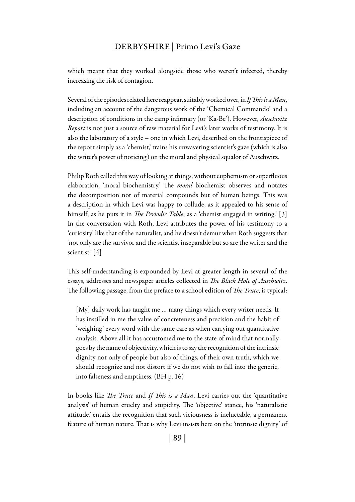## DERBYSHIRE | Primo Levi's Gaze

which meant that they worked alongside those who weren't infected, thereby increasing the risk of contagion.

Several of the episodes related here reappear, suitably worked over, in *If This is a Man*, including an account of the dangerous work of the 'Chemical Commando' and a description of conditions in the camp infirmary (or 'Ka-Be'). However, *Auschwitz Report* is not just a source of raw material for Levi's later works of testimony. It is also the laboratory of a style – one in which Levi, described on the frontispiece of the report simply as a 'chemist,' trains his unwavering scientist's gaze (which is also the writer's power of noticing) on the moral and physical squalor of Auschwitz.

Philip Roth called this way of looking at things, without euphemism or superfluous elaboration, 'moral biochemistry.' The *moral* biochemist observes and notates the decomposition not of material compounds but of human beings. This was a description in which Levi was happy to collude, as it appealed to his sense of himself, as he puts it in *The Periodic Table*, as a 'chemist engaged in writing.' [3] In the conversation with Roth, Levi attributes the power of his testimony to a 'curiosity' like that of the naturalist, and he doesn't demur when Roth suggests that 'not only are the survivor and the scientist inseparable but so are the writer and the scientist.' [4]

This self-understanding is expounded by Levi at greater length in several of the essays, addresses and newspaper articles collected in *The Black Hole of Auschwitz*. The following passage, from the preface to a school edition of *The Truce*, is typical:

[My] daily work has taught me ... many things which every writer needs. It has instilled in me the value of concreteness and precision and the habit of 'weighing' every word with the same care as when carrying out quantitative analysis. Above all it has accustomed me to the state of mind that normally goes by the name of objectivity, which is to say the recognition of the intrinsic dignity not only of people but also of things, of their own truth, which we should recognize and not distort if we do not wish to fall into the generic, into falseness and emptiness. (BH p. 16)

In books like *The Truce* and *If This is a Man*, Levi carries out the 'quantitative analysis' of human cruelty and stupidity. The 'objective' stance, his 'naturalistic attitude,' entails the recognition that such viciousness is ineluctable, a permanent feature of human nature. That is why Levi insists here on the 'intrinsic dignity' of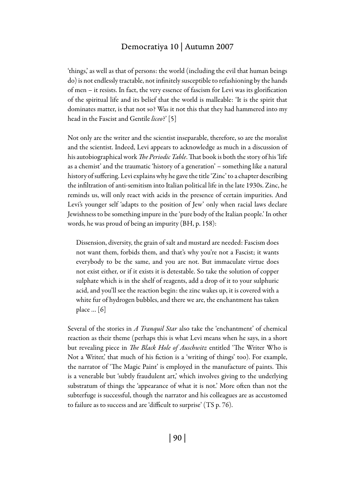### Democratiya 10 | Autumn 2007

'things,' as well as that of persons: the world (including the evil that human beings do) is not endlessly tractable, not infinitely susceptible to refashioning by the hands of men – it resists. In fact, the very essence of fascism for Levi was its glorification of the spiritual life and its belief that the world is malleable: 'It is the spirit that dominates matter, is that not so? Was it not this that they had hammered into my head in the Fascist and Gentile *liceo*?' [5]

Not only are the writer and the scientist inseparable, therefore, so are the moralist and the scientist. Indeed, Levi appears to acknowledge as much in a discussion of his autobiographical work *The Periodic Table*. That book is both the story of his 'life as a chemist' and the traumatic 'history of a generation' – something like a natural history of suffering. Levi explains why he gave the title 'Zinc' to a chapter describing the infiltration of anti-semitism into Italian political life in the late 1930s. Zinc, he reminds us, will only react with acids in the presence of certain impurities. And Levi's younger self 'adapts to the position of Jew' only when racial laws declare Jewishness to be something impure in the 'pure body of the Italian people.' In other words, he was proud of being an impurity (BH, p. 158):

Dissension, diversity, the grain of salt and mustard are needed: Fascism does not want them, forbids them, and that's why you're not a Fascist; it wants everybody to be the same, and you are not. But immaculate virtue does not exist either, or if it exists it is detestable. So take the solution of copper sulphate which is in the shelf of reagents, add a drop of it to your sulphuric acid, and you'll see the reaction begin: the zinc wakes up, it is covered with a white fur of hydrogen bubbles, and there we are, the enchantment has taken place … [6]

Several of the stories in *A Tranquil Star* also take the 'enchantment' of chemical reaction as their theme (perhaps this is what Levi means when he says, in a short but revealing piece in *The Black Hole of Auschwitz* entitled 'The Writer Who is Not a Writer,' that much of his fiction is a 'writing of things' too). For example, the narrator of 'The Magic Paint' is employed in the manufacture of paints. This is a venerable but 'subtly fraudulent art,' which involves giving to the underlying substratum of things the 'appearance of what it is not.' More often than not the subterfuge is successful, though the narrator and his colleagues are as accustomed to failure as to success and are 'difficult to surprise' (TS p. 76).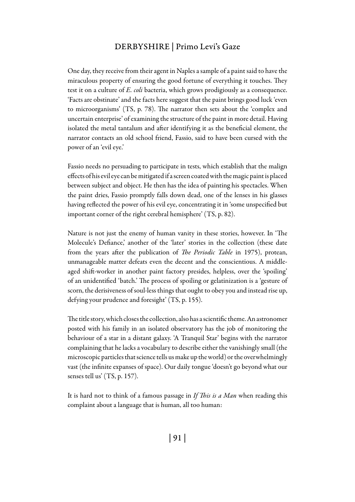### DERBYSHIRE | Primo Levi's Gaze

One day, they receive from their agent in Naples a sample of a paint said to have the miraculous property of ensuring the good fortune of everything it touches. They test it on a culture of *E. coli* bacteria, which grows prodigiously as a consequence. 'Facts are obstinate' and the facts here suggest that the paint brings good luck 'even to microorganisms' (TS, p. 78). The narrator then sets about the 'complex and uncertain enterprise' of examining the structure of the paint in more detail. Having isolated the metal tantalum and after identifying it as the beneficial element, the narrator contacts an old school friend, Fassio, said to have been cursed with the power of an 'evil eye.'

Fassio needs no persuading to participate in tests, which establish that the malign effects of his evil eye can be mitigated if a screen coated with the magic paint is placed between subject and object. He then has the idea of painting his spectacles. When the paint dries, Fassio promptly falls down dead, one of the lenses in his glasses having reflected the power of his evil eye, concentrating it in 'some unspecified but important corner of the right cerebral hemisphere' (TS, p. 82).

Nature is not just the enemy of human vanity in these stories, however. In 'The Molecule's Defiance,' another of the 'later' stories in the collection (these date from the years after the publication of *The Periodic Table* in 1975), protean, unmanageable matter defeats even the decent and the conscientious. A middleaged shift-worker in another paint factory presides, helpless, over the 'spoiling' of an unidentified 'batch.' The process of spoiling or gelatinization is a 'gesture of scorn, the derisiveness of soul-less things that ought to obey you and instead rise up, defying your prudence and foresight' (TS, p. 155).

The title story, which closes the collection, also has a scientific theme. An astronomer posted with his family in an isolated observatory has the job of monitoring the behaviour of a star in a distant galaxy. 'A Tranquil Star' begins with the narrator complaining that he lacks a vocabulary to describe either the vanishingly small (the microscopic particles that science tells us make up the world) or the overwhelmingly vast (the infinite expanses of space). Our daily tongue 'doesn't go beyond what our senses tell us' (TS, p. 157).

It is hard not to think of a famous passage in *If This is a Man* when reading this complaint about a language that is human, all too human: